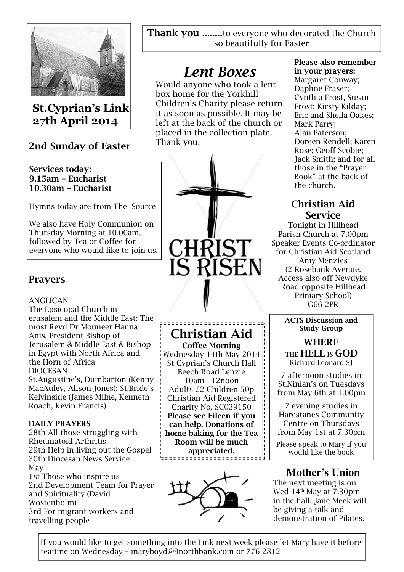

St.Cyprian's Link 27th April 2014

# 2nd Sunday of Easter

## Services today: 9.15am – Eucharist 10.30am – Eucharist

Hymns today are from The Source

We also have Holy Communion on Thursday Morning at 10.00am, followed by Tea or Coffee for everyone who would like to join us.

# Prayers

## ANGLICAN

The Epsicopal Church in erusalem and the Middle East: The most Revd Dr Mouneer Hanna Anis, President Bishop of Jerusalem & Middle East & Bishop in Egypt with North Africa and the Horn of Africa DIOCESAN

St.Augustine's, Dumbarton (Kenny MacAuley, Alison Jones); St.Bride's Kelvinside (James Milne, Kenneth Roach, Kevin Francis)

## DAILY PRAYERS

28th All those struggling with Rheumatoid Arthritis 29th Help in living out the Gospel 30th Diocesan News Service May 1st Those who inspire us 2nd Development Team for Prayer

and Spirituality (David Wostenholm) 3rd For migrant workers and travelling people

Thank you ........to everyone who decorated the Church so beautifully for Easter

# Lent Boxes

Would anyone who took a lent box home for the Yorkhill Children's Charity please return it as soon as possible. It may be left at the back of the church or placed in the collection plate. Thank you.



# Christian Aid

Coffee Morning Wednesday 14th May 2014 St Cyprian's Church Hall Beech Road Lenzie 10am - 12noon Adults £2 Children 50p Christian Aid Registered Charity No. SC039150 Please see Eileen if you can help. Donations of home baking for the Tea Room will be much appreciated.



# Please also remember in your prayers:

Margaret Conway; Daphne Fraser; Cynthia Frost, Susan Frost; Kirsty Kilday; Eric and Sheila Oakes; Mark Parry; Alan Paterson; Doreen Rendell; Karen Rose; Geoff Scobie; Jack Smith; and for all those in the "Prayer Book" at the back of the church.

# Christian Aid Service

Tonight in Hillhead Parish Church at 7.00pm Speaker Events Co-ordinator for Christian Aid Scotland Amy Menzies (2 Rosebank Avenue. Access also off Newdyke Road opposite Hillhead Primary School) G66 2PR

## ACTS Discussion and Study Group

WHERE THE HELL IS GOD Richard Leonard SJ

7 afternoon studies in St.Ninian's on Tuesdays from May 6th at 1.00pm

7 evening studies in Harestanes Community Centre on Thursdays from May 1st at 7.30pm

Please speak to Mary if you would like the book

# **Mother's Union**

The next meeting is on Wed  $14<sup>th</sup>$  May at 7.30pm in the hall. Jane Meek will be giving a talk and demonstration of Pilates.

If you would like to get something into the Link next week please let Mary have it before teatime on Wednesday – maryboyd@9northbank.com or 776 2812